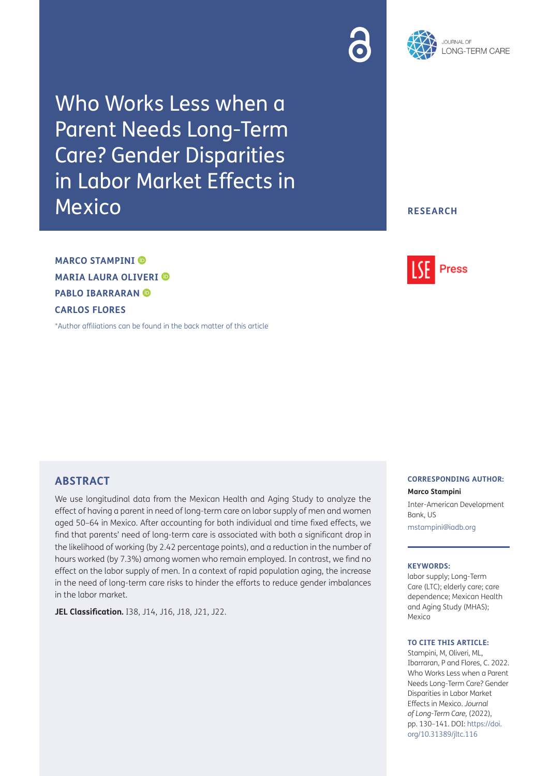



Who Works Less when a Parent Needs Long-Term Care? Gender Disparities in Labor Market Effects in Mexico

**RESEARCH**

**MARCO STAMPINI MARIA LAURA OLIVERI PABLO IBARRARAN CARLOS FLORES**

[\\*Author affiliations can be found in the back matter of this article](#page-10-0)

## **ABSTRACT**

We use longitudinal data from the Mexican Health and Aging Study to analyze the effect of having a parent in need of long-term care on labor supply of men and women aged 50–64 in Mexico. After accounting for both individual and time fixed effects, we find that parents' need of long-term care is associated with both a significant drop in the likelihood of working (by 2.42 percentage points), and a reduction in the number of hours worked (by 7.3%) among women who remain employed. In contrast, we find no effect on the labor supply of men. In a context of rapid population aging, the increase in the need of long-term care risks to hinder the efforts to reduce gender imbalances in the labor market.

**JEL Classification.** I38, J14, J16, J18, J21, J22.

# **Press**

## **CORRESPONDING AUTHOR:**

**Marco Stampini** Inter-American Development Bank, US

[mstampini@iadb.org](mailto:mstampini@iadb.org)

#### **KEYWORDS:**

labor supply; Long-Term Care (LTC); elderly care; care dependence; Mexican Health and Aging Study (MHAS); Mexico

### **TO CITE THIS ARTICLE:**

Stampini, M, Oliveri, ML, Ibarraran, P and Flores, C. 2022. Who Works Less when a Parent Needs Long-Term Care? Gender Disparities in Labor Market Effects in Mexico. *Journal of Long-Term Care,* (2022), pp. 130–141. DOI: [https://doi.](https://doi.org/10.31389/jltc.116) [org/10.31389/jltc.116](https://doi.org/10.31389/jltc.116)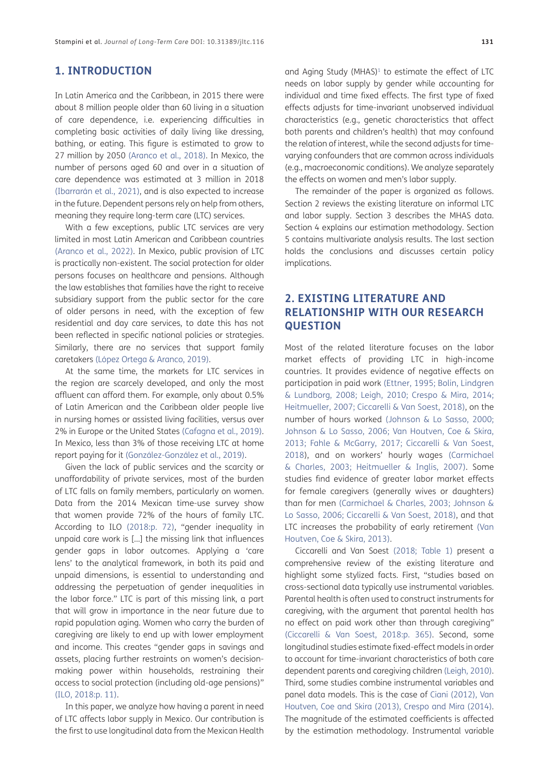## **1. INTRODUCTION**

In Latin America and the Caribbean, in 2015 there were about 8 million people older than 60 living in a situation of care dependence, i.e. experiencing difficulties in completing basic activities of daily living like dressing, bathing, or eating. This figure is estimated to grow to 27 million by 2050 (Aranco et al., 2018). In Mexico, the number of persons aged 60 and over in a situation of care dependence was estimated at 3 million in 2018 (Ibarrarán et al., 2021), and is also expected to increase in the future. Dependent persons rely on help from others, meaning they require long-term care (LTC) services.

With a few exceptions, public LTC services are very limited in most Latin American and Caribbean countries (Aranco et al., 2022). In Mexico, public provision of LTC is practically non-existent. The social protection for older persons focuses on healthcare and pensions. Although the law establishes that families have the right to receive subsidiary support from the public sector for the care of older persons in need, with the exception of few residential and day care services, to date this has not been reflected in specific national policies or strategies. Similarly, there are no services that support family caretakers (López Ortega & Aranco, 2019).

At the same time, the markets for LTC services in the region are scarcely developed, and only the most affluent can afford them. For example, only about 0.5% of Latin American and the Caribbean older people live in nursing homes or assisted living facilities, versus over 2% in Europe or the United States (Cafagna et al., 2019). In Mexico, less than 3% of those receiving LTC at home report paying for it (González-González et al., 2019).

Given the lack of public services and the scarcity or unaffordability of private services, most of the burden of LTC falls on family members, particularly on women. Data from the 2014 Mexican time-use survey show that women provide 72% of the hours of family LTC. According to ILO [\(2018](#page-11-0):p. 72), "gender inequality in unpaid care work is […] the missing link that influences gender gaps in labor outcomes. Applying a 'care lens' to the analytical framework, in both its paid and unpaid dimensions, is essential to understanding and addressing the perpetuation of gender inequalities in the labor force." LTC is part of this missing link, a part that will grow in importance in the near future due to rapid population aging. Women who carry the burden of caregiving are likely to end up with lower employment and income. This creates "gender gaps in savings and assets, placing further restraints on women's decisionmaking power within households, restraining their access to social protection (including old-age pensions)" ([ILO, 2018:](#page-11-0)p. 11).

In this paper, we analyze how having a parent in need of LTC affects labor supply in Mexico. Our contribution is the first to use longitudinal data from the Mexican Health and Aging Study (MHAS)<sup>1</sup> to estimate the effect of LTC needs on labor supply by gender while accounting for individual and time fixed effects. The first type of fixed effects adjusts for time-invariant unobserved individual characteristics (e.g., genetic characteristics that affect both parents and children's health) that may confound the relation of interest, while the second adjusts for timevarying confounders that are common across individuals (e.g., macroeconomic conditions). We analyze separately the effects on women and men's labor supply.

The remainder of the paper is organized as follows. Section 2 reviews the existing literature on informal LTC and labor supply. Section 3 describes the MHAS data. Section 4 explains our estimation methodology. Section 5 contains multivariate analysis results. The last section holds the conclusions and discusses certain policy implications.

# **2. EXISTING LITERATURE AND RELATIONSHIP WITH OUR RESEARCH QUESTION**

Most of the related literature focuses on the labor market effects of providing LTC in high-income countries. It provides evidence of negative effects on participation in paid work (Ettner, 1995; [Bolin, Lindgren](#page-10-1)  [& Lundborg, 2008](#page-10-1); [Leigh, 2010;](#page-11-1) [Crespo & Mira, 2014;](#page-10-2) [Heitmueller, 2007;](#page-11-2) [Ciccarelli & Van Soest, 2018](#page-10-3)), on the number of hours worked [\(Johnson & Lo Sasso, 2000;](#page-11-3) [Johnson & Lo Sasso, 2006](#page-11-4); [Van Houtven, Coe & Skira,](#page-11-5)  [2013](#page-11-5); [Fahle & McGarry, 2017](#page-10-4); [Ciccarelli & Van Soest,](#page-10-3)  [2018](#page-10-3)), and on workers' hourly wages ([Carmichael](#page-10-5)  [& Charles, 2003](#page-10-5); [Heitmueller & Inglis, 2007](#page-11-6)). Some studies find evidence of greater labor market effects for female caregivers (generally wives or daughters) than for men ([Carmichael & Charles, 2003](#page-10-5); [Johnson &](#page-11-4)  [Lo Sasso, 2006;](#page-11-4) [Ciccarelli & Van Soest, 2018\)](#page-10-3), and that LTC increases the probability of early retirement [\(Van](#page-11-5)  [Houtven, Coe & Skira, 2013\)](#page-11-5).

Ciccarelli and Van Soest ([2018](#page-10-3); [Table 1](#page-2-0)) present a comprehensive review of the existing literature and highlight some stylized facts. First, "studies based on cross-sectional data typically use instrumental variables. Parental health is often used to construct instruments for caregiving, with the argument that parental health has no effect on paid work other than through caregiving" ([Ciccarelli & Van Soest, 2018](#page-10-3):p. 365). Second, some longitudinal studies estimate fixed-effect models in order to account for time-invariant characteristics of both care dependent parents and caregiving children ([Leigh, 2010\)](#page-11-1). Third, some studies combine instrumental variables and panel data models. This is the case of Ciani (2012), [Van](#page-11-5)  [Houtven, Coe and Skira \(2013\)](#page-11-5), [Crespo and Mira \(2014\).](#page-10-2) The magnitude of the estimated coefficients is affected by the estimation methodology. Instrumental variable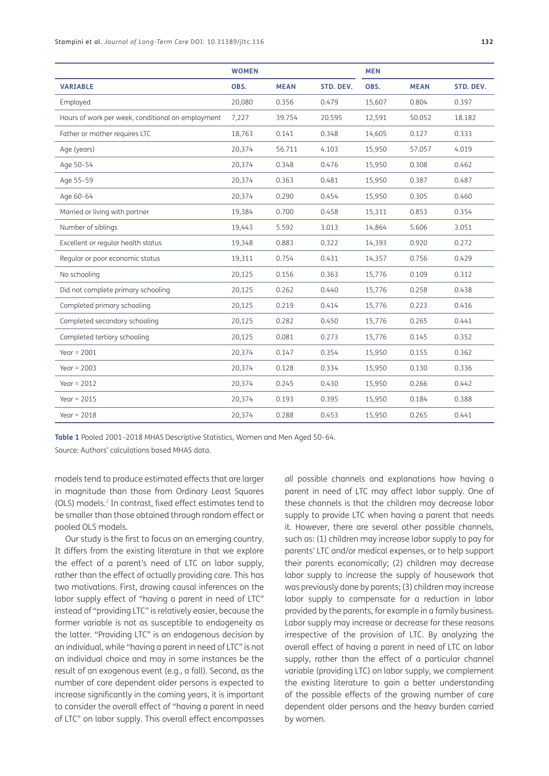|                                                   | <b>WOMEN</b> |             |           | <b>MEN</b> |             |           |
|---------------------------------------------------|--------------|-------------|-----------|------------|-------------|-----------|
| <b>VARIABLE</b>                                   | OBS.         | <b>MEAN</b> | STD. DEV. | OBS.       | <b>MEAN</b> | STD. DEV. |
| Employed                                          | 20,080       | 0.356       | 0.479     | 15,607     | 0.804       | 0.397     |
| Hours of work per week, conditional on employment | 7,227        | 39.754      | 20.595    | 12,591     | 50.052      | 18.182    |
| Father or mother requires LTC                     | 18,763       | 0.141       | 0.348     | 14,605     | 0.127       | 0.333     |
| Age (years)                                       | 20,374       | 56.711      | 4.103     | 15,950     | 57.057      | 4.019     |
| Age 50-54                                         | 20,374       | 0.348       | 0.476     | 15,950     | 0.308       | 0.462     |
| Age 55-59                                         | 20,374       | 0.363       | 0.481     | 15,950     | 0.387       | 0.487     |
| Age 60-64                                         | 20,374       | 0.290       | 0.454     | 15,950     | 0.305       | 0.460     |
| Married or living with partner                    | 19,384       | 0.700       | 0.458     | 15,311     | 0.853       | 0.354     |
| Number of siblings                                | 19,443       | 5.592       | 3.013     | 14,864     | 5.606       | 3.051     |
| Excellent or regular health status                | 19,348       | 0.883       | 0.322     | 14,393     | 0.920       | 0.272     |
| Regular or poor economic status                   | 19,311       | 0.754       | 0.431     | 14,357     | 0.756       | 0.429     |
| No schooling                                      | 20,125       | 0.156       | 0.363     | 15,776     | 0.109       | 0.312     |
| Did not complete primary schooling                | 20,125       | 0.262       | 0.440     | 15,776     | 0.258       | 0.438     |
| Completed primary schooling                       | 20,125       | 0.219       | 0.414     | 15,776     | 0.223       | 0.416     |
| Completed secondary schooling                     | 20,125       | 0.282       | 0.450     | 15,776     | 0.265       | 0.441     |
| Completed tertiary schooling                      | 20,125       | 0.081       | 0.273     | 15,776     | 0.145       | 0.352     |
| Year = $2001$                                     | 20,374       | 0.147       | 0.354     | 15,950     | 0.155       | 0.362     |
| Year = $2003$                                     | 20,374       | 0.128       | 0.334     | 15,950     | 0.130       | 0.336     |
| Year = $2012$                                     | 20,374       | 0.245       | 0.430     | 15,950     | 0.266       | 0.442     |
| Year = $2015$                                     | 20,374       | 0.193       | 0.395     | 15,950     | 0.184       | 0.388     |
| Year = $2018$                                     | 20,374       | 0.288       | 0.453     | 15,950     | 0.265       | 0.441     |

<span id="page-2-0"></span>**Table 1** Pooled 2001–2018 MHAS Descriptive Statistics, Women and Men Aged 50–64.

Source: Authors' calculations based MHAS data.

models tend to produce estimated effects that are larger in magnitude than those from Ordinary Least Squares (OLS) models.[2](#page-9-1) In contrast, fixed effect estimates tend to be smaller than those obtained through random effect or pooled OLS models.

Our study is the first to focus on an emerging country. It differs from the existing literature in that we explore the effect of a parent's need of LTC on labor supply, rather than the effect of actually providing care. This has two motivations. First, drawing causal inferences on the labor supply effect of "having a parent in need of LTC" instead of "providing LTC" is relatively easier, because the former variable is not as susceptible to endogeneity as the latter. "Providing LTC" is an endogenous decision by an individual, while "having a parent in need of LTC" is not an individual choice and may in some instances be the result of an exogenous event (e.g., a fall). Second, as the number of care dependent older persons is expected to increase significantly in the coming years, it is important to consider the overall effect of "having a parent in need of LTC" on labor supply. This overall effect encompasses *all* possible channels and explanations how having a parent in need of LTC may affect labor supply. One of these channels is that the children may decrease labor supply to provide LTC when having a parent that needs it. However, there are several other possible channels, such as: (1) children may increase labor supply to pay for parents' LTC and/or medical expenses, or to help support their parents economically; (2) children may decrease labor supply to increase the supply of housework that was previously done by parents; (3) children may increase labor supply to compensate for a reduction in labor provided by the parents, for example in a family business. Labor supply may increase or decrease for these reasons irrespective of the provision of LTC. By analyzing the overall effect of having a parent in need of LTC on labor supply, rather than the effect of a particular channel variable (providing LTC) on labor supply, we complement the existing literature to gain a better understanding of the possible effects of the growing number of care dependent older persons and the heavy burden carried by women.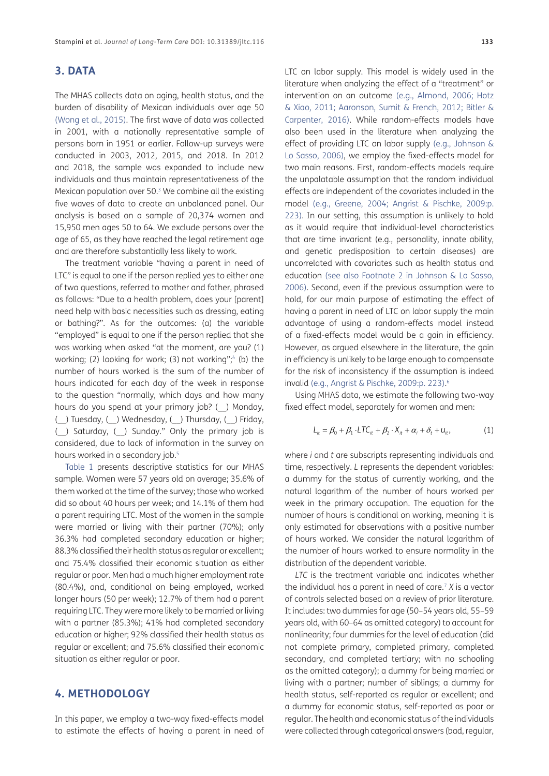## **3. DATA**

The MHAS collects data on aging, health status, and the burden of disability of Mexican individuals over age 50 [\(Wong et al., 2015\)](#page-11-7). The first wave of data was collected in 2001, with a nationally representative sample of persons born in 1951 or earlier. Follow-up surveys were conducted in 2003, 2012, 2015, and 2018. In 2012 and 2018, the sample was expanded to include new individuals and thus maintain representativeness of the Mexican population over 50.[3](#page-9-2) We combine all the existing five waves of data to create an unbalanced panel. Our analysis is based on a sample of 20,374 women and 15,950 men ages 50 to 64. We exclude persons over the age of 65, as they have reached the legal retirement age and are therefore substantially less likely to work.

The treatment variable "having a parent in need of LTC" is equal to one if the person replied yes to either one of two questions, referred to mother and father, phrased as follows: "Due to a health problem, does your [parent] need help with basic necessities such as dressing, eating or bathing?". As for the outcomes: (a) the variable "employed" is equal to one if the person replied that she was working when asked "at the moment, are you? (1) working; (2) looking for work; (3) not working";<sup>4</sup> (b) the number of hours worked is the sum of the number of hours indicated for each day of the week in response to the question "normally, which days and how many hours do you spend at your primary job? (\_\_) Monday, (\_\_) Tuesday, (\_\_) Wednesday, (\_\_) Thursday, (\_\_) Friday, (\_\_) Saturday, (\_\_) Sunday." Only the primary job is considered, due to lack of information in the survey on hours worked in a secondary job.<sup>5</sup>

[Table 1](#page-2-0) presents descriptive statistics for our MHAS sample. Women were 57 years old on average; 35.6% of them worked at the time of the survey; those who worked did so about 40 hours per week; and 14.1% of them had a parent requiring LTC. Most of the women in the sample were married or living with their partner (70%); only 36.3% had completed secondary education or higher; 88.3% classified their health status as regular or excellent; and 75.4% classified their economic situation as either regular or poor. Men had a much higher employment rate (80.4%), and, conditional on being employed, worked longer hours (50 per week); 12.7% of them had a parent requiring LTC. They were more likely to be married or living with a partner (85.3%); 41% had completed secondary education or higher; 92% classified their health status as regular or excellent; and 75.6% classified their economic situation as either regular or poor.

## **4. METHODOLOGY**

In this paper, we employ a two-way fixed-effects model to estimate the effects of having a parent in need of

LTC on labor supply. This model is widely used in the literature when analyzing the effect of a "treatment" or intervention on an outcome (e.g., [Almond, 2006](#page-10-6); [Hotz](#page-11-8)  [& Xiao, 2011;](#page-11-8) Aaronson, Sumit & French, 2012; [Bitler &](#page-10-7)  [Carpenter, 2016](#page-10-7)). While random-effects models have also been used in the literature when analyzing the effect of providing LTC on labor supply (e.g., [Johnson &](#page-11-4)  [Lo Sasso, 2006\)](#page-11-4), we employ the fixed-effects model for two main reasons. First, random-effects models require the unpalatable assumption that the random individual effects are independent of the covariates included in the model (e.g., [Greene, 2004](#page-11-9); Angrist & Pischke, 2009:p. 223). In our setting, this assumption is unlikely to hold as it would require that individual-level characteristics that are time invariant (e.g., personality, innate ability, and genetic predisposition to certain diseases) are uncorrelated with covariates such as health status and education (see also Footnote 2 in [Johnson & Lo Sasso,](#page-11-4)  [2006\)](#page-11-4). Second, even if the previous assumption were to hold, for our main purpose of estimating the effect of having a parent in need of LTC on labor supply the main advantage of using a random-effects model instead of a fixed-effects model would be a gain in efficiency. However, as argued elsewhere in the literature, the gain in efficiency is unlikely to be large enough to compensate for the risk of inconsistency if the assumption is indeed invalid (e.g., Angrist & Pischke, 2009:p. 223). [6](#page-9-5)

Using MHAS data, we estimate the following two-way fixed effect model, separately for women and men:

$$
L_{it} = \beta_0 + \beta_1 \cdot LTC_{it} + \beta_2 \cdot X_{it} + \alpha_i + \delta_t + u_{it},
$$
\n(1)

where *i* and *t* are subscripts representing individuals and time, respectively. *L* represents the dependent variables: a dummy for the status of currently working, and the natural logarithm of the number of hours worked per week in the primary occupation. The equation for the number of hours is conditional on working, meaning it is only estimated for observations with a positive number of hours worked. We consider the natural logarithm of the number of hours worked to ensure normality in the distribution of the dependent variable.

*LTC* is the treatment variable and indicates whether the individual has a parent in need of care.[7](#page-9-6) *X* is a vector of controls selected based on a review of prior literature. It includes: two dummies for age (50–54 years old, 55–59 years old, with 60–64 as omitted category) to account for nonlinearity; four dummies for the level of education (did not complete primary, completed primary, completed secondary, and completed tertiary; with no schooling as the omitted category); a dummy for being married or living with a partner; number of siblings; a dummy for health status, self-reported as regular or excellent; and a dummy for economic status, self-reported as poor or regular. The health and economic status of the individuals were collected through categorical answers (bad, regular,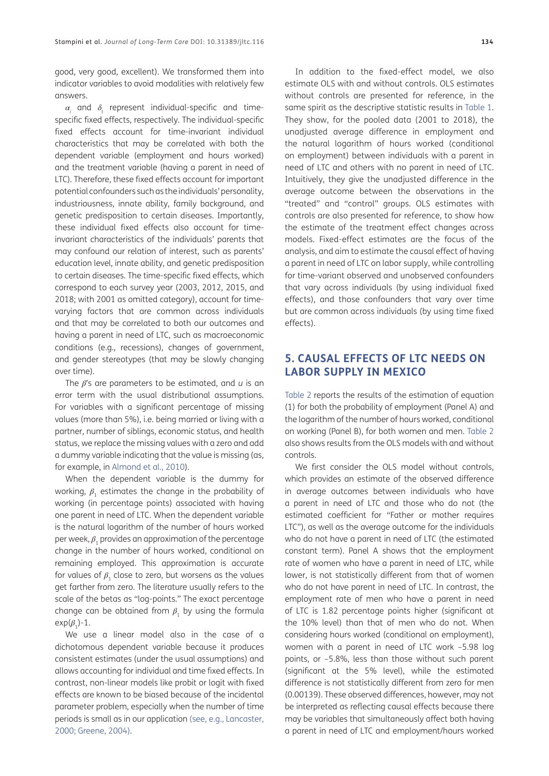good, very good, excellent). We transformed them into indicator variables to avoid modalities with relatively few answers.

 $\alpha_{\scriptscriptstyle \! i}$  and  $\delta_{\scriptscriptstyle \! t}$  represent individual-specific and timespecific fixed effects, respectively. The individual-specific fixed effects account for time-invariant individual characteristics that may be correlated with both the dependent variable (employment and hours worked) and the treatment variable (having a parent in need of LTC). Therefore, these fixed effects account for important potential confounders such as the individuals' personality, industriousness, innate ability, family background, and genetic predisposition to certain diseases. Importantly, these individual fixed effects also account for timeinvariant characteristics of the individuals' parents that may confound our relation of interest, such as parents' education level, innate ability, and genetic predisposition to certain diseases. The time-specific fixed effects, which correspond to each survey year (2003, 2012, 2015, and 2018; with 2001 as omitted category), account for timevarying factors that are common across individuals and that may be correlated to both our outcomes and having a parent in need of LTC, such as macroeconomic conditions (e.g., recessions), changes of government, and gender stereotypes (that may be slowly changing over time).

The *β*'s are parameters to be estimated, and *u* is an error term with the usual distributional assumptions. For variables with a significant percentage of missing values (more than 5%), i.e. being married or living with a partner, number of siblings, economic status, and health status, we replace the missing values with a zero and add a dummy variable indicating that the value is missing (as, for example, in [Almond et al., 2010](#page-10-8)).

When the dependent variable is the dummy for working, *β*<sub>1</sub> estimates the change in the probability of working (in percentage points) associated with having one parent in need of LTC. When the dependent variable is the natural logarithm of the number of hours worked per week,  $\beta_1$  provides an approximation of the percentage change in the number of hours worked, conditional on remaining employed. This approximation is accurate for values of  $\beta$ <sub>1</sub> close to zero, but worsens as the values get farther from zero. The literature usually refers to the scale of the betas as "log-points." The exact percentage change can be obtained from  $\beta$ , by using the formula  $exp(\beta_1)-1$ .

We use a linear model also in the case of a dichotomous dependent variable because it produces consistent estimates (under the usual assumptions) and allows accounting for individual and time fixed effects. In contrast, non-linear models like probit or logit with fixed effects are known to be biased because of the incidental parameter problem, especially when the number of time periods is small as in our application (see, e.g., [Lancaster,](#page-11-10) [2000](#page-11-10); [Greene, 2004](#page-11-9)).

In addition to the fixed-effect model, we also estimate OLS with and without controls. OLS estimates without controls are presented for reference, in the same spirit as the descriptive statistic results in [Table 1.](#page-2-0) They show, for the pooled data (2001 to 2018), the unadjusted average difference in employment and the natural logarithm of hours worked (conditional on employment) between individuals with a parent in need of LTC and others with no parent in need of LTC. Intuitively, they give the unadjusted difference in the average outcome between the observations in the "treated" and "control" groups. OLS estimates with controls are also presented for reference, to show how the estimate of the treatment effect changes across models. Fixed-effect estimates are the focus of the analysis, and aim to estimate the causal effect of having a parent in need of LTC on labor supply, while controlling for time-variant observed and unobserved confounders that vary across individuals (by using individual fixed effects), and those confounders that vary over time but are common across individuals (by using time fixed effects).

# **5. CAUSAL EFFECTS OF LTC NEEDS ON LABOR SUPPLY IN MEXICO**

[Table 2](#page-6-0) reports the results of the estimation of equation (1) for both the probability of employment (Panel A) and the logarithm of the number of hours worked, conditional on working (Panel B), for both women and men. [Table 2](#page-6-0) also shows results from the OLS models with and without controls.

We first consider the OLS model without controls, which provides an estimate of the observed difference in average outcomes between individuals who have a parent in need of LTC and those who do not (the estimated coefficient for "Father or mother requires LTC"), as well as the average outcome for the individuals who do not have a parent in need of LTC (the estimated constant term). Panel A shows that the employment rate of women who have a parent in need of LTC, while lower, is not statistically different from that of women who do not have parent in need of LTC. In contrast, the employment rate of men who have a parent in need of LTC is 1.82 percentage points higher (significant at the 10% level) than that of men who do not. When considering hours worked (conditional on employment), women with a parent in need of LTC work –5.98 log points, or –5.8%, less than those without such parent (significant at the 5% level), while the estimated difference is not statistically different from zero for men (0.00139). These observed differences, however, may not be interpreted as reflecting causal effects because there may be variables that simultaneously affect both having a parent in need of LTC and employment/hours worked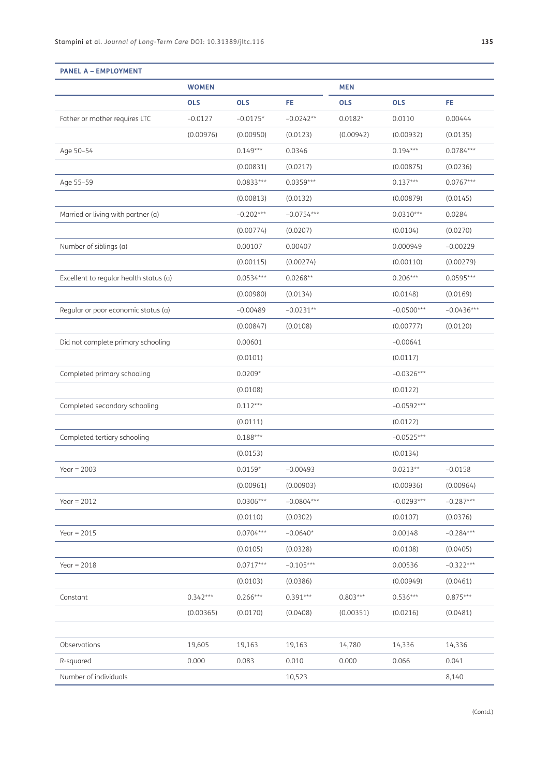|                                        | <b>WOMEN</b> |             |              | <b>MEN</b> |              |              |
|----------------------------------------|--------------|-------------|--------------|------------|--------------|--------------|
|                                        | <b>OLS</b>   | <b>OLS</b>  | FE           | <b>OLS</b> | <b>OLS</b>   | FE.          |
| Father or mother requires LTC          | $-0.0127$    | $-0.0175*$  | $-0.0242**$  | $0.0182*$  | 0.0110       | 0.00444      |
|                                        | (0.00976)    | (0.00950)   | (0.0123)     | (0.00942)  | (0.00932)    | (0.0135)     |
| Age 50-54                              |              | $0.149***$  | 0.0346       |            | $0.194***$   | $0.0784***$  |
|                                        |              | (0.00831)   | (0.0217)     |            | (0.00875)    | (0.0236)     |
| Age 55-59                              |              | $0.0833***$ | $0.0359***$  |            | $0.137***$   | $0.0767***$  |
|                                        |              | (0.00813)   | (0.0132)     |            | (0.00879)    | (0.0145)     |
| Married or living with partner (a)     |              | $-0.202***$ | $-0.0754***$ |            | $0.0310***$  | 0.0284       |
|                                        |              | (0.00774)   | (0.0207)     |            | (0.0104)     | (0.0270)     |
| Number of siblings (a)                 |              | 0.00107     | 0.00407      |            | 0.000949     | $-0.00229$   |
|                                        |              | (0.00115)   | (0.00274)    |            | (0.00110)    | (0.00279)    |
| Excellent to regular health status (a) |              | $0.0534***$ | $0.0268**$   |            | $0.206***$   | $0.0595***$  |
|                                        |              | (0.00980)   | (0.0134)     |            | (0.0148)     | (0.0169)     |
| Regular or poor economic status (a)    |              | $-0.00489$  | $-0.0231**$  |            | $-0.0500***$ | $-0.0436***$ |
|                                        |              | (0.00847)   | (0.0108)     |            | (0.00777)    | (0.0120)     |
| Did not complete primary schooling     |              | 0.00601     |              |            | $-0.00641$   |              |
|                                        |              | (0.0101)    |              |            | (0.0117)     |              |
| Completed primary schooling            |              | $0.0209*$   |              |            | $-0.0326***$ |              |
|                                        |              | (0.0108)    |              |            | (0.0122)     |              |
| Completed secondary schooling          |              | $0.112***$  |              |            | $-0.0592***$ |              |
|                                        |              | (0.0111)    |              |            | (0.0122)     |              |
| Completed tertiary schooling           |              | $0.188***$  |              |            | $-0.0525***$ |              |
|                                        |              | (0.0153)    |              |            | (0.0134)     |              |
| Year = $2003$                          |              | $0.0159*$   | $-0.00493$   |            | $0.0213**$   | $-0.0158$    |
|                                        |              | (0.00961)   | (0.00903)    |            | (0.00936)    | (0.00964)    |
| Year = $2012$                          |              | $0.0306***$ | $-0.0804***$ |            | $-0.0293***$ | $-0.287***$  |
|                                        |              | (0.0110)    | (0.0302)     |            | (0.0107)     | (0.0376)     |
| Year = $2015$                          |              | $0.0704***$ | $-0.0640*$   |            | 0.00148      | $-0.284***$  |
|                                        |              | (0.0105)    | (0.0328)     |            | (0.0108)     | (0.0405)     |
| Year = $2018$                          |              | $0.0717***$ | $-0.105***$  |            | 0.00536      | $-0.322***$  |
|                                        |              | (0.0103)    | (0.0386)     |            | (0.00949)    | (0.0461)     |
| Constant                               | $0.342***$   | $0.266***$  | $0.391***$   | $0.803***$ | $0.536***$   | $0.875***$   |
|                                        | (0.00365)    | (0.0170)    | (0.0408)     | (0.00351)  | (0.0216)     | (0.0481)     |
| Observations                           | 19,605       | 19,163      | 19,163       | 14,780     | 14,336       | 14,336       |
| R-squared                              | 0.000        | 0.083       | 0.010        | 0.000      | 0.066        | 0.041        |
| Number of individuals                  |              |             | 10,523       |            |              | 8,140        |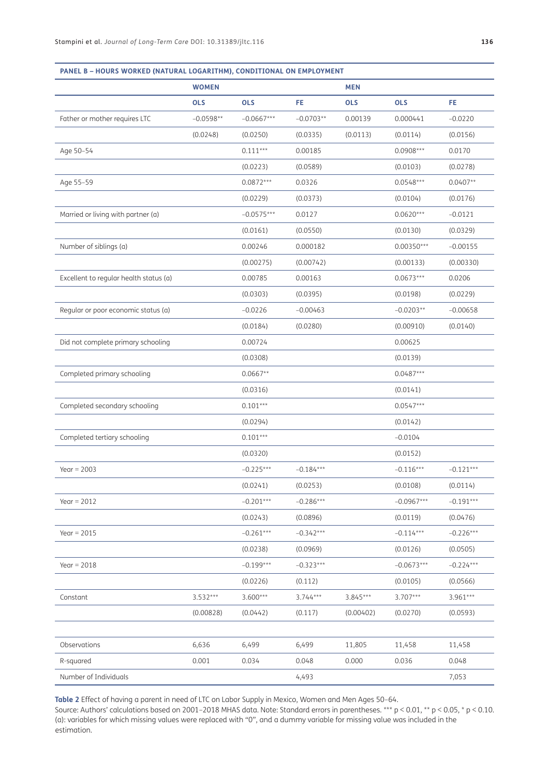|                                        | <b>WOMEN</b> |              |             | <b>MEN</b> |              |             |
|----------------------------------------|--------------|--------------|-------------|------------|--------------|-------------|
|                                        | <b>OLS</b>   | <b>OLS</b>   | FE.         | <b>OLS</b> | <b>OLS</b>   | FE          |
| Father or mother requires LTC          | $-0.0598**$  | $-0.0667***$ | $-0.0703**$ | 0.00139    | 0.000441     | $-0.0220$   |
|                                        | (0.0248)     | (0.0250)     | (0.0335)    | (0.0113)   | (0.0114)     | (0.0156)    |
| Age 50-54                              |              | $0.111***$   | 0.00185     |            | $0.0908***$  | 0.0170      |
|                                        |              | (0.0223)     | (0.0589)    |            | (0.0103)     | (0.0278)    |
| Age 55-59                              |              | $0.0872***$  | 0.0326      |            | $0.0548***$  | $0.0407**$  |
|                                        |              | (0.0229)     | (0.0373)    |            | (0.0104)     | (0.0176)    |
| Married or living with partner (a)     |              | $-0.0575***$ | 0.0127      |            | $0.0620***$  | $-0.0121$   |
|                                        |              | (0.0161)     | (0.0550)    |            | (0.0130)     | (0.0329)    |
| Number of siblings (a)                 |              | 0.00246      | 0.000182    |            | $0.00350***$ | $-0.00155$  |
|                                        |              | (0.00275)    | (0.00742)   |            | (0.00133)    | (0.00330)   |
| Excellent to regular health status (a) |              | 0.00785      | 0.00163     |            | $0.0673***$  | 0.0206      |
|                                        |              | (0.0303)     | (0.0395)    |            | (0.0198)     | (0.0229)    |
| Regular or poor economic status (a)    |              | $-0.0226$    | $-0.00463$  |            | $-0.0203**$  | $-0.00658$  |
|                                        |              | (0.0184)     | (0.0280)    |            | (0.00910)    | (0.0140)    |
| Did not complete primary schooling     |              | 0.00724      |             |            | 0.00625      |             |
|                                        |              | (0.0308)     |             |            | (0.0139)     |             |
| Completed primary schooling            |              | $0.0667**$   |             |            | $0.0487***$  |             |
|                                        |              | (0.0316)     |             |            | (0.0141)     |             |
| Completed secondary schooling          |              | $0.101***$   |             |            | $0.0547***$  |             |
|                                        |              | (0.0294)     |             |            | (0.0142)     |             |
| Completed tertiary schooling           |              | $0.101***$   |             |            | $-0.0104$    |             |
|                                        |              | (0.0320)     |             |            | (0.0152)     |             |
| Year = $2003$                          |              | $-0.225***$  | $-0.184***$ |            | $-0.116***$  | $-0.121***$ |
|                                        |              | (0.0241)     | (0.0253)    |            | (0.0108)     | (0.0114)    |
| Year = $2012$                          |              | $-0.201***$  | $-0.286***$ |            | $-0.0967***$ | $-0.191***$ |
|                                        |              | (0.0243)     | (0.0896)    |            | (0.0119)     | (0.0476)    |
| Year = $2015$                          |              | $-0.261***$  | $-0.342***$ |            | $-0.114***$  | $-0.226***$ |
|                                        |              | (0.0238)     | (0.0969)    |            | (0.0126)     | (0.0505)    |
| Year = $2018$                          |              | $-0.199***$  | $-0.323***$ |            | $-0.0673***$ | $-0.224***$ |
|                                        |              | (0.0226)     | (0.112)     |            | (0.0105)     | (0.0566)    |
| Constant                               | 3.532***     | $3.600***$   | $3.744***$  | $3.845***$ | 3.707***     | $3.961***$  |
|                                        | (0.00828)    | (0.0442)     | (0.117)     | (0.00402)  | (0.0270)     | (0.0593)    |
|                                        |              |              |             |            |              |             |
| Observations                           | 6,636        | 6,499        | 6,499       | 11,805     | 11,458       | 11,458      |
| R-squared                              | 0.001        | 0.034        | 0.048       | 0.000      | 0.036        | 0.048       |
| Number of Individuals                  |              |              | 4,493       |            |              | 7,053       |

<span id="page-6-0"></span>**Table 2** Effect of having a parent in need of LTC on Labor Supply in Mexico, Women and Men Ages 50–64.

Source: Authors' calculations based on 2001–2018 MHAS data. Note: Standard errors in parentheses. \*\*\* p < 0.01, \*\* p < 0.05, \* p < 0.10. (a): variables for which missing values were replaced with "0", and a dummy variable for missing value was included in the estimation.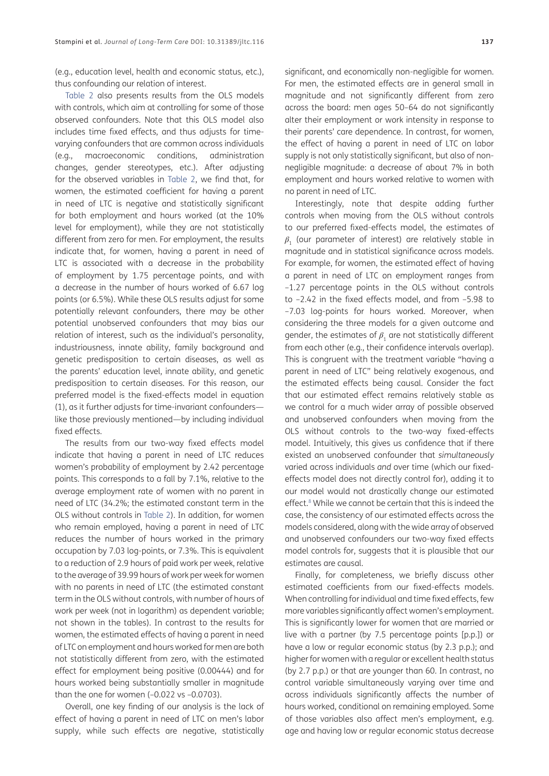(e.g., education level, health and economic status, etc.), thus confounding our relation of interest.

[Table 2](#page-6-0) also presents results from the OLS models with controls, which aim at controlling for some of those observed confounders. Note that this OLS model also includes time fixed effects, and thus adjusts for timevarying confounders that are common across individuals (e.g., macroeconomic conditions, administration changes, gender stereotypes, etc.). After adjusting for the observed variables in [Table 2,](#page-6-0) we find that, for women, the estimated coefficient for having a parent in need of LTC is negative and statistically significant for both employment and hours worked (at the 10% level for employment), while they are not statistically different from zero for men. For employment, the results indicate that, for women, having a parent in need of LTC is associated with a decrease in the probability of employment by 1.75 percentage points, and with a decrease in the number of hours worked of 6.67 log points (or 6.5%). While these OLS results adjust for some potentially relevant confounders, there may be other potential unobserved confounders that may bias our relation of interest, such as the individual's personality, industriousness, innate ability, family background and genetic predisposition to certain diseases, as well as the parents' education level, innate ability, and genetic predisposition to certain diseases. For this reason, our preferred model is the fixed-effects model in equation (1), as it further adjusts for time-invariant confounders like those previously mentioned—by including individual fixed effects.

The results from our two-way fixed effects model indicate that having a parent in need of LTC reduces women's probability of employment by 2.42 percentage points. This corresponds to a fall by 7.1%, relative to the average employment rate of women with no parent in need of LTC (34.2%; the estimated constant term in the OLS without controls in [Table 2](#page-6-0)). In addition, for women who remain employed, having a parent in need of LTC reduces the number of hours worked in the primary occupation by 7.03 log-points, or 7.3%. This is equivalent to a reduction of 2.9 hours of paid work per week, relative to the average of 39.99 hours of work per week for women with no parents in need of LTC (the estimated constant term in the OLS without controls, with number of hours of work per week (not in logarithm) as dependent variable; not shown in the tables). In contrast to the results for women, the estimated effects of having a parent in need of LTC on employment and hours worked for men are both not statistically different from zero, with the estimated effect for employment being positive (0.00444) and for hours worked being substantially smaller in magnitude than the one for women  $(-0.022 \text{ vs } -0.0703)$ .

Overall, one key finding of our analysis is the lack of effect of having a parent in need of LTC on men's labor supply, while such effects are negative, statistically significant, and economically non-negligible for women. For men, the estimated effects are in general small in magnitude and not significantly different from zero across the board: men ages 50–64 do not significantly alter their employment or work intensity in response to their parents' care dependence. In contrast, for women, the effect of having a parent in need of LTC on labor supply is not only statistically significant, but also of nonnegligible magnitude: a decrease of about 7% in both employment and hours worked relative to women with no parent in need of LTC.

Interestingly, note that despite adding further controls when moving from the OLS without controls to our preferred fixed-effects model, the estimates of *β*1 (our parameter of interest) are relatively stable in magnitude and in statistical significance across models. For example, for women, the estimated effect of having a parent in need of LTC on employment ranges from –1.27 percentage points in the OLS without controls to –2.42 in the fixed effects model, and from –5.98 to –7.03 log-points for hours worked. Moreover, when considering the three models for a given outcome and gender, the estimates of  $\beta$ <sub>1</sub> are not statistically different from each other (e.g., their confidence intervals overlap). This is congruent with the treatment variable "having a parent in need of LTC" being relatively exogenous, and the estimated effects being causal. Consider the fact that our estimated effect remains relatively stable as we control for a much wider array of possible observed and unobserved confounders when moving from the OLS without controls to the two-way fixed-effects model. Intuitively, this gives us confidence that if there existed an unobserved confounder that *simultaneously* varied across individuals *and* over time (which our fixedeffects model does not directly control for), adding it to our model would not drastically change our estimated effect.<sup>8</sup> While we cannot be certain that this is indeed the case, the consistency of our estimated effects across the models considered, along with the wide array of observed and unobserved confounders our two-way fixed effects model controls for, suggests that it is plausible that our estimates are causal.

Finally, for completeness, we briefly discuss other estimated coefficients from our fixed-effects models. When controlling for individual and time fixed effects, few more variables significantly affect women's employment. This is significantly lower for women that are married or live with a partner (by 7.5 percentage points [p.p.]) or have a low or regular economic status (by 2.3 p.p.); and higher for women with a regular or excellent health status (by 2.7 p.p.) or that are younger than 60. In contrast, no control variable simultaneously varying over time and across individuals significantly affects the number of hours worked, conditional on remaining employed. Some of those variables also affect men's employment, e.g. age and having low or regular economic status decrease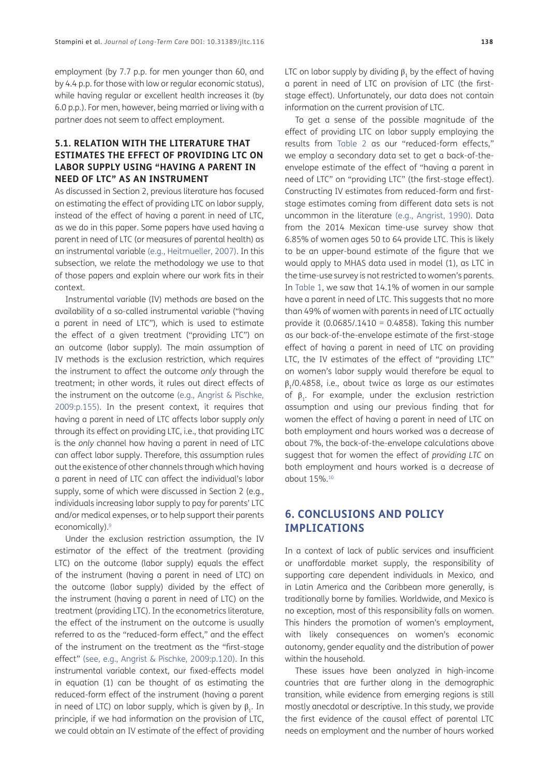employment (by 7.7 p.p. for men younger than 60, and by 4.4 p.p. for those with low or regular economic status), while having regular or excellent health increases it (by 6.0 p.p.). For men, however, being married or living with a partner does not seem to affect employment.

## **5.1. RELATION WITH THE LITERATURE THAT ESTIMATES THE EFFECT OF PROVIDING LTC ON LABOR SUPPLY USING "HAVING A PARENT IN NEED OF LTC" AS AN INSTRUMENT**

As discussed in Section 2, previous literature has focused on estimating the effect of providing LTC on labor supply, instead of the effect of having a parent in need of LTC, as we do in this paper. Some papers have used having a parent in need of LTC (or measures of parental health) as an instrumental variable (e.g., [Heitmueller, 2007\)](#page-11-2). In this subsection, we relate the methodology we use to that of those papers and explain where our work fits in their context.

Instrumental variable (IV) methods are based on the availability of a so-called instrumental variable ("having a parent in need of LTC"), which is used to estimate the effect of a given treatment ("providing LTC") on an outcome (labor supply). The main assumption of IV methods is the exclusion restriction, which requires the instrument to affect the outcome *only* through the treatment; in other words, it rules out direct effects of the instrument on the outcome (e.g., Angrist & Pischke, 2009:p.155). In the present context, it requires that having a parent in need of LTC affects labor supply *only* through its effect on providing LTC, i.e., that providing LTC is the *only* channel how having a parent in need of LTC can affect labor supply. Therefore, this assumption rules out the existence of other channels through which having a parent in need of LTC can affect the individual's labor supply, some of which were discussed in Section 2 (e.g., individuals increasing labor supply to pay for parents' LTC and/or medical expenses, or to help support their parents economically).<sup>[9](#page-10-9)</sup>

Under the exclusion restriction assumption, the IV estimator of the effect of the treatment (providing LTC) on the outcome (labor supply) equals the effect of the instrument (having a parent in need of LTC) on the outcome (labor supply) divided by the effect of the instrument (having a parent in need of LTC) on the treatment (providing LTC). In the econometrics literature, the effect of the instrument on the outcome is usually referred to as the "reduced-form effect," and the effect of the instrument on the treatment as the "first-stage effect" (see, e.g., Angrist & Pischke, 2009:p.120). In this instrumental variable context, our fixed-effects model in equation (1) can be thought of as estimating the reduced-form effect of the instrument (having a parent in need of LTC) on labor supply, which is given by  $\beta_1$ . In principle, if we had information on the provision of LTC, we could obtain an IV estimate of the effect of providing

LTC on labor supply by dividing  $\beta_1$  by the effect of having a parent in need of LTC on provision of LTC (the firststage effect). Unfortunately, our data does not contain information on the current provision of LTC.

To get a sense of the possible magnitude of the effect of providing LTC on labor supply employing the results from [Table 2](#page-6-0) as our "reduced-form effects," we employ a secondary data set to get a back-of-theenvelope estimate of the effect of "having a parent in need of LTC" on "providing LTC" (the first-stage effect). Constructing IV estimates from reduced-form and firststage estimates coming from different data sets is not uncommon in the literature (e.g., [Angrist, 1990\)](#page-10-10). Data from the 2014 Mexican time-use survey show that 6.85% of women ages 50 to 64 provide LTC. This is likely to be an upper-bound estimate of the figure that we would apply to MHAS data used in model (1), as LTC in the time-use survey is not restricted to women's parents. In [Table 1](#page-2-0), we saw that 14.1% of women in our sample have a parent in need of LTC. This suggests that no more than 49% of women with parents in need of LTC actually provide it  $(0.0685/0.1410 = 0.4858)$ . Taking this number as our back-of-the-envelope estimate of the first-stage effect of having a parent in need of LTC on providing LTC, the IV estimates of the effect of "providing LTC" on women's labor supply would therefore be equal to  $\beta$ <sub>1</sub>/0.4858, i.e., about twice as large as our estimates of  $\beta_1$ . For example, under the exclusion restriction assumption and using our previous finding that for women the effect of having a parent in need of LTC on both employment and hours worked was a decrease of about 7%, the back-of-the-envelope calculations above suggest that for women the effect of *providing LTC* on both employment and hours worked is a decrease of about 15%.[10](#page-10-11)

## **6. CONCLUSIONS AND POLICY IMPLICATIONS**

In a context of lack of public services and insufficient or unaffordable market supply, the responsibility of supporting care dependent individuals in Mexico, and in Latin America and the Caribbean more generally, is traditionally borne by families. Worldwide, and Mexico is no exception, most of this responsibility falls on women. This hinders the promotion of women's employment, with likely consequences on women's economic autonomy, gender equality and the distribution of power within the household.

These issues have been analyzed in high-income countries that are further along in the demographic transition, while evidence from emerging regions is still mostly anecdotal or descriptive. In this study, we provide the first evidence of the causal effect of parental LTC needs on employment and the number of hours worked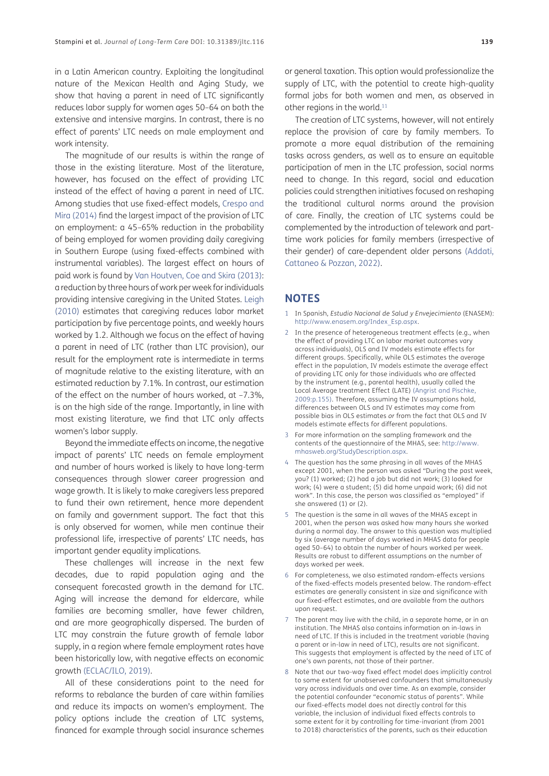in a Latin American country. Exploiting the longitudinal nature of the Mexican Health and Aging Study, we show that having a parent in need of LTC significantly reduces labor supply for women ages 50–64 on both the extensive and intensive margins. In contrast, there is no effect of parents' LTC needs on male employment and work intensity.

The magnitude of our results is within the range of those in the existing literature. Most of the literature, however, has focused on the effect of providing LTC instead of the effect of having a parent in need of LTC. Among studies that use fixed-effect models, [Crespo and](#page-10-2) [Mira \(2014\)](#page-10-2) find the largest impact of the provision of LTC on employment: a 45–65% reduction in the probability of being employed for women providing daily caregiving in Southern Europe (using fixed-effects combined with instrumental variables). The largest effect on hours of paid work is found by [Van Houtven, Coe and Skira \(2013\)](#page-11-5): a reduction by three hours of work per week for individuals providing intensive caregiving in the United States. [Leigh](#page-11-1) [\(2010\)](#page-11-1) estimates that caregiving reduces labor market participation by five percentage points, and weekly hours worked by 1.2. Although we focus on the effect of having a parent in need of LTC (rather than LTC provision), our result for the employment rate is intermediate in terms of magnitude relative to the existing literature, with an estimated reduction by 7.1%. In contrast, our estimation of the effect on the number of hours worked, at –7.3%, is on the high side of the range. Importantly, in line with most existing literature, we find that LTC only affects women's labor supply.

Beyond the immediate effects on income, the negative impact of parents' LTC needs on female employment and number of hours worked is likely to have long-term consequences through slower career progression and wage growth. It is likely to make caregivers less prepared to fund their own retirement, hence more dependent on family and government support. The fact that this is only observed for women, while men continue their professional life, irrespective of parents' LTC needs, has important gender equality implications.

These challenges will increase in the next few decades, due to rapid population aging and the consequent forecasted growth in the demand for LTC. Aging will increase the demand for eldercare, while families are becoming smaller, have fewer children, and are more geographically dispersed. The burden of LTC may constrain the future growth of female labor supply, in a region where female employment rates have been historically low, with negative effects on economic growth [\(ECLAC/ILO, 2019](#page-10-12)).

All of these considerations point to the need for reforms to rebalance the burden of care within families and reduce its impacts on women's employment. The policy options include the creation of LTC systems, financed for example through social insurance schemes or general taxation. This option would professionalize the supply of LTC, with the potential to create high-quality formal jobs for both women and men, as observed in other regions in the world.<sup>11</sup>

The creation of LTC systems, however, will not entirely replace the provision of care by family members. To promote a more equal distribution of the remaining tasks across genders, as well as to ensure an equitable participation of men in the LTC profession, social norms need to change. In this regard, social and education policies could strengthen initiatives focused on reshaping the traditional cultural norms around the provision of care. Finally, the creation of LTC systems could be complemented by the introduction of telework and parttime work policies for family members (irrespective of their gender) of care-dependent older persons [\(Addati,](#page-10-14)  [Cattaneo & Pozzan, 2022\)](#page-10-14).

## **NOTES**

- <span id="page-9-0"></span>1 In Spanish, *Estudio Nacional de Salud y Envejecimiento* (ENASEM): [http://www.enasem.org/Index\\_Esp.aspx.](http://www.enasem.org/Index_Esp.aspx)
- <span id="page-9-1"></span>2 In the presence of heterogeneous treatment effects (e.g., when the effect of providing LTC on labor market outcomes vary across individuals), OLS and IV models estimate effects for different groups. Specifically, while OLS estimates the average effect in the population, IV models estimate the average effect of providing LTC only for those individuals who are affected by the instrument (e.g., parental health), usually called the Local Average treatment Effect (LATE) (Angrist and Pischke, 2009:p.155). Therefore, assuming the IV assumptions hold, differences between OLS and IV estimates may come from possible bias in OLS estimates *or* from the fact that OLS and IV models estimate effects for different populations.
- <span id="page-9-2"></span>3 For more information on the sampling framework and the contents of the questionnaire of the MHAS, see: [http://www.](http://www.mhasweb.org/StudyDescription.aspx) [mhasweb.org/StudyDescription.aspx.](http://www.mhasweb.org/StudyDescription.aspx)
- <span id="page-9-3"></span>4 The question has the same phrasing in all waves of the MHAS except 2001, when the person was asked "During the past week, you? (1) worked; (2) had a job but did not work; (3) looked for work; (4) were a student; (5) did home unpaid work; (6) did not work". In this case, the person was classified as "employed" if she answered (1) or (2).
- <span id="page-9-4"></span>5 The question is the same in all waves of the MHAS except in 2001, when the person was asked how many hours she worked during a normal day. The answer to this question was multiplied by six (average number of days worked in MHAS data for people aged 50–64) to obtain the number of hours worked per week. Results are robust to different assumptions on the number of days worked per week.
- <span id="page-9-5"></span>6 For completeness, we also estimated random-effects versions of the fixed-effects models presented below. The random-effect estimates are generally consistent in size and significance with our fixed-effect estimates, and are available from the authors upon request.
- <span id="page-9-6"></span>7 The parent may live with the child, in a separate home, or in an institution. The MHAS also contains information on in-laws in need of LTC. If this is included in the treatment variable (having a parent or in-law in need of LTC), results are not significant. This suggests that employment is affected by the need of LTC of one's own parents, not those of their partner.
- <span id="page-9-7"></span>8 Note that our two-way fixed effect model does implicitly control to some extent for unobserved confounders that simultaneously vary across individuals and over time. As an example, consider the potential confounder "economic status of parents". While our fixed-effects model does not directly control for this variable, the inclusion of individual fixed effects controls to some extent for it by controlling for time-invariant (from 2001 to 2018) characteristics of the parents, such as their education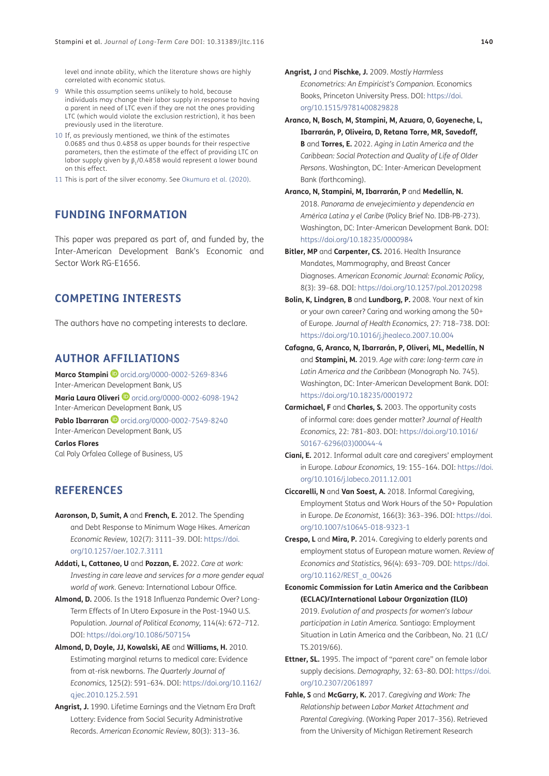level and innate ability, which the literature shows are highly correlated with economic status.

- <span id="page-10-9"></span>9 While this assumption seems unlikely to hold, because individuals may change their labor supply in response to having a parent in need of LTC even if they are not the ones providing LTC (which would violate the exclusion restriction), it has been previously used in the literature.
- <span id="page-10-11"></span>10 If, as previously mentioned, we think of the estimates 0.0685 and thus 0.4858 as upper bounds for their respective parameters, then the estimate of the effect of providing LTC on labor supply given by β<sub>1</sub>/0.4858 would represent a lower bound on this effect.
- <span id="page-10-13"></span>11 This is part of the silver economy. See Okumura et al. (2020).

## **FUNDING INFORMATION**

This paper was prepared as part of, and funded by, the Inter-American Development Bank's Economic and Sector Work RG-E1656.

## **COMPETING INTERESTS**

The authors have no competing interests to declare.

## <span id="page-10-0"></span>**AUTHOR AFFILIATIONS**

**Marco Stampini D** [orcid.org/0000-0002-5269-8346](https://orcid.org/0000-0002-5269-8346) Inter-American Development Bank, US

Maria Laura Oliveri<sup>D</sup> [orcid.org/0000-0002-6098-1942](https://orcid.org/0000-0002-6098-1942) Inter-American Development Bank, US

**Pablo Ibarraran** D[orcid.org/0000-0002-7549-8240](https://orcid.org/0000-0002-7549-8240) Inter-American Development Bank, US

**Carlos Flores** Cal Poly Orfalea College of Business, US

## **REFERENCES**

- **Aaronson, D, Sumit, A** and **French, E.** 2012. The Spending and Debt Response to Minimum Wage Hikes. *American Economic Review,* 102(7): 3111–39. DOI: [https://doi.](https://doi.org/10.1257/aer.102.7.3111) [org/10.1257/aer.102.7.3111](https://doi.org/10.1257/aer.102.7.3111)
- <span id="page-10-14"></span>**Addati, L, Cattaneo, U** and **Pozzan, E.** 2022. *Care at work: Investing in care leave and services for a more gender equal world of work.* Geneva: International Labour Office.
- <span id="page-10-6"></span>**Almond, D.** 2006. Is the 1918 Influenza Pandemic Over? Long-Term Effects of In Utero Exposure in the Post-1940 U.S. Population. *Journal of Political Economy,* 114(4): 672–712. DOI:<https://doi.org/10.1086/507154>
- <span id="page-10-8"></span>**Almond, D, Doyle, JJ, Kowalski, AE** and **Williams, H.** 2010. Estimating marginal returns to medical care: Evidence from at-risk newborns. *The Quarterly Journal of Economics,* 125(2): 591–634. DOI: [https://doi.org/10.1162/](https://doi.org/10.1162/qjec.2010.125.2.591) [qjec.2010.125.2.591](https://doi.org/10.1162/qjec.2010.125.2.591)
- <span id="page-10-10"></span>**Angrist, J.** 1990. Lifetime Earnings and the Vietnam Era Draft Lottery: Evidence from Social Security Administrative Records. *American Economic Review,* 80(3): 313–36.
- **Angrist, J** and **Pischke, J.** 2009. *Mostly Harmless Econometrics: An Empiricist's Companion.* Economics Books, Princeton University Press. DOI: [https://doi.](https://doi.org/10.1515/9781400829828) [org/10.1515/9781400829828](https://doi.org/10.1515/9781400829828)
- **Aranco, N, Bosch, M, Stampini, M, Azuara, O, Goyeneche, L, Ibarrarán, P, Oliveira, D, Retana Torre, MR, Savedoff, B** and **Torres, E.** 2022. *Aging in Latin America and the Caribbean: Social Protection and Quality of Life of Older Persons*. Washington, DC: Inter-American Development Bank (forthcoming).
- **Aranco, N, Stampini, M, Ibarrarán, P** and **Medellín, N.** 2018. *Panorama de envejecimiento y dependencia en América Latina y el Caribe* (Policy Brief No. IDB-PB-273). Washington, DC: Inter-American Development Bank. DOI: <https://doi.org/10.18235/0000984>
- <span id="page-10-7"></span>**Bitler, MP** and **Carpenter, CS.** 2016. Health Insurance Mandates, Mammography, and Breast Cancer Diagnoses. *American Economic Journal: Economic Policy,* 8(3): 39–68. DOI:<https://doi.org/10.1257/pol.20120298>
- <span id="page-10-1"></span>**Bolin, K, Lindgren, B** and **Lundborg, P.** 2008. Your next of kin or your own career? Caring and working among the 50+ of Europe. *Journal of Health Economics,* 27: 718–738. DOI: <https://doi.org/10.1016/j.jhealeco.2007.10.004>
- **Cafagna, G, Aranco, N, Ibarrarán, P, Oliveri, ML, Medellín, N**  and **Stampini, M.** 2019. *Age with care: long-term care in Latin America and the Caribbean* (Monograph No. 745). Washington, DC: Inter-American Development Bank. DOI: <https://doi.org/10.18235/0001972>
- <span id="page-10-5"></span>**Carmichael, F** and **Charles, S.** 2003. The opportunity costs of informal care: does gender matter? *Journal of Health Economics,* 22: 781–803. DOI: [https://doi.org/10.1016/](https://doi.org/10.1016/S0167-6296(03)00044-4) [S0167-6296\(03\)00044-4](https://doi.org/10.1016/S0167-6296(03)00044-4)
- **Ciani, E.** 2012. Informal adult care and caregivers' employment in Europe. *Labour Economics,* 19: 155–164. DOI: [https://doi.](https://doi.org/10.1016/j.labeco.2011.12.001) [org/10.1016/j.labeco.2011.12.001](https://doi.org/10.1016/j.labeco.2011.12.001)
- <span id="page-10-3"></span>**Ciccarelli, N** and **Van Soest, A.** 2018. Informal Caregiving, Employment Status and Work Hours of the 50+ Population in Europe. *De Economist,* 166(3): 363–396. DOI: [https://doi.](https://doi.org/10.1007/s10645-018-9323-1) [org/10.1007/s10645-018-9323-1](https://doi.org/10.1007/s10645-018-9323-1)
- <span id="page-10-2"></span>**Crespo, L** and **Mira, P.** 2014. Caregiving to elderly parents and employment status of European mature women. *Review of Economics and Statistics,* 96(4): 693–709. DOI: [https://doi.](https://doi.org/10.1162/REST_a_00426) [org/10.1162/REST\\_a\\_00426](https://doi.org/10.1162/REST_a_00426)
- <span id="page-10-12"></span>**Economic Commission for Latin America and the Caribbean (ECLAC)/International Labour Organization (ILO)** 2019. *Evolution of and prospects for women's labour participation in Latin America.* Santiago: Employment Situation in Latin America and the Caribbean, No. 21 (LC/ TS.2019/66).
- **Ettner, SL.** 1995. The impact of "parent care" on female labor supply decisions. *Demography,* 32: 63–80. DOI: [https://doi.](https://doi.org/10.2307/2061897) [org/10.2307/2061897](https://doi.org/10.2307/2061897)
- <span id="page-10-4"></span>**Fahle, S** and **McGarry, K.** 2017. *Caregiving and Work: The Relationship between Labor Market Attachment and Parental Caregiving*. (Working Paper 2017–356). Retrieved from the University of Michigan Retirement Research